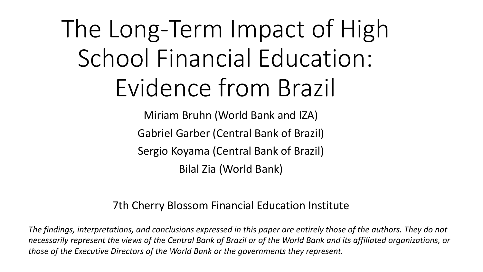# The Long-Term Impact of High School Financial Education: Evidence from Brazil

Miriam Bruhn (World Bank and IZA) Gabriel Garber (Central Bank of Brazil) Sergio Koyama (Central Bank of Brazil) Bilal Zia (World Bank)

#### 7th Cherry Blossom Financial Education Institute

*The findings, interpretations, and conclusions expressed in this paper are entirely those of the authors. They do not necessarily represent the views of the Central Bank of Brazil or of the World Bank and its affiliated organizations, or those of the Executive Directors of the World Bank or the governments they represent.*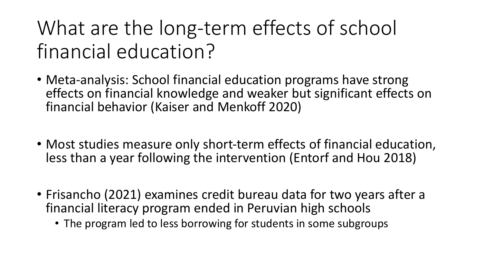What are the long-term effects of school financial education?

- Meta-analysis: School financial education programs have strong effects on financial knowledge and weaker but significant effects on financial behavior (Kaiser and Menkoff 2020)
- Most studies measure only short-term effects of financial education, less than a year following the intervention (Entorf and Hou 2018)
- Frisancho (2021) examines credit bureau data for two years after a financial literacy program ended in Peruvian high schools
	- The program led to less borrowing for students in some subgroups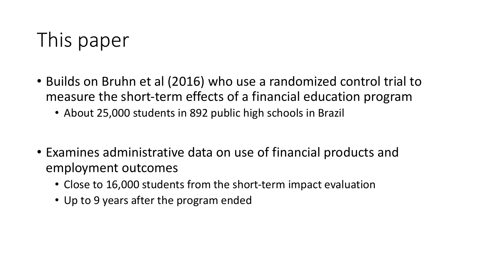# This paper

- Builds on Bruhn et al (2016) who use a randomized control trial to measure the short-term effects of a financial education program
	- About 25,000 students in 892 public high schools in Brazil
- Examines administrative data on use of financial products and employment outcomes
	- Close to 16,000 students from the short-term impact evaluation
	- Up to 9 years after the program ended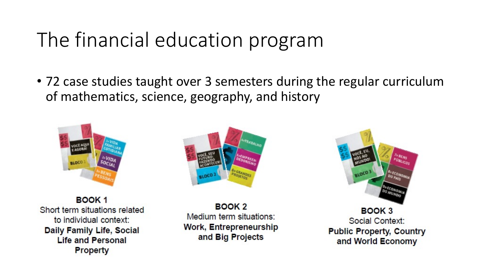### The financial education program

• 72 case studies taught over 3 semesters during the regular curriculum of mathematics, science, geography, and history



BOOK<sub>1</sub> Short term situations related to individual context: Daily Family Life, Social **Life and Personal Property** 



BOOK<sub>2</sub> Medium term situations: Work, Entrepreneurship and Big Projects



BOOK 3 Social Context: **Public Property, Country** and World Economy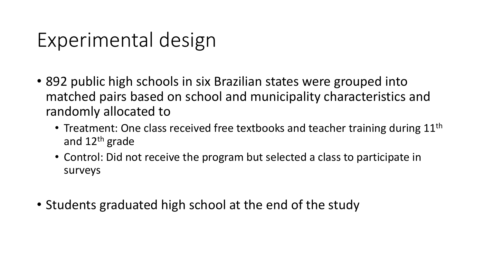### Experimental design

- 892 public high schools in six Brazilian states were grouped into matched pairs based on school and municipality characteristics and randomly allocated to
	- Treatment: One class received free textbooks and teacher training during  $11<sup>th</sup>$ and 12th grade
	- Control: Did not receive the program but selected a class to participate in surveys
- Students graduated high school at the end of the study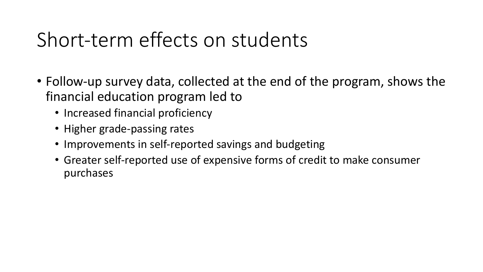### Short-term effects on students

- Follow-up survey data, collected at the end of the program, shows the financial education program led to
	- Increased financial proficiency
	- Higher grade-passing rates
	- Improvements in self-reported savings and budgeting
	- Greater self-reported use of expensive forms of credit to make consumer purchases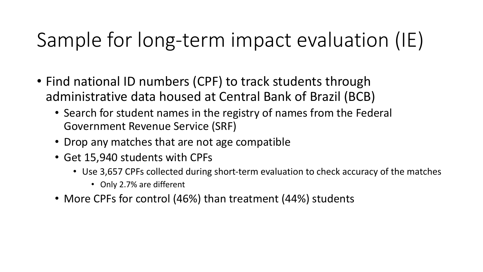# Sample for long-term impact evaluation (IE)

- Find national ID numbers (CPF) to track students through administrative data housed at Central Bank of Brazil (BCB)
	- Search for student names in the registry of names from the Federal Government Revenue Service (SRF)
	- Drop any matches that are not age compatible
	- Get 15,940 students with CPFs
		- Use 3,657 CPFs collected during short-term evaluation to check accuracy of the matches
			- Only 2.7% are different
	- More CPFs for control (46%) than treatment (44%) students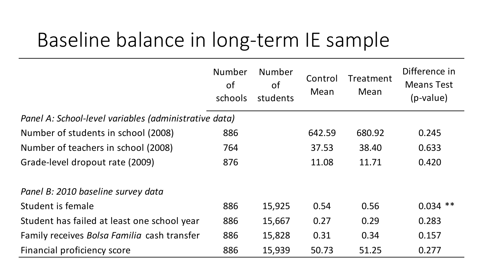### Baseline balance in long-term IE sample

|                                                       | <b>Number</b><br><b>of</b><br>schools | Number<br><b>of</b><br>students | Control<br>Mean | Treatment<br>Mean | Difference in<br><b>Means Test</b><br>$(p-value)$ |
|-------------------------------------------------------|---------------------------------------|---------------------------------|-----------------|-------------------|---------------------------------------------------|
| Panel A: School-level variables (administrative data) |                                       |                                 |                 |                   |                                                   |
| Number of students in school (2008)                   | 886                                   |                                 | 642.59          | 680.92            | 0.245                                             |
| Number of teachers in school (2008)                   | 764                                   |                                 | 37.53           | 38.40             | 0.633                                             |
| Grade-level dropout rate (2009)                       | 876                                   |                                 | 11.08           | 11.71             | 0.420                                             |
| Panel B: 2010 baseline survey data                    |                                       |                                 |                 |                   |                                                   |
| Student is female                                     | 886                                   | 15,925                          | 0.54            | 0.56              | $0.034$ **                                        |
| Student has failed at least one school year           | 886                                   | 15,667                          | 0.27            | 0.29              | 0.283                                             |
| Family receives Bolsa Familia cash transfer           | 886                                   | 15,828                          | 0.31            | 0.34              | 0.157                                             |
| Financial proficiency score                           | 886                                   | 15,939                          | 50.73           | 51.25             | 0.277                                             |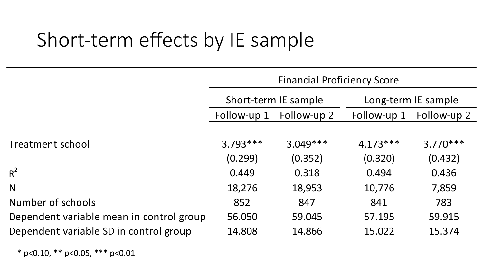# Short-term effects by IE sample

|                                          | <b>Financial Proficiency Score</b> |                      |                     |             |  |  |  |
|------------------------------------------|------------------------------------|----------------------|---------------------|-------------|--|--|--|
|                                          |                                    | Short-term IE sample | Long-term IE sample |             |  |  |  |
|                                          | Follow-up 1                        | Follow-up 2          | Follow-up 1         | Follow-up 2 |  |  |  |
|                                          |                                    |                      |                     |             |  |  |  |
| Treatment school                         | $3.793***$                         | $3.049***$           | $4.173***$          | $3.770***$  |  |  |  |
|                                          | (0.299)                            | (0.352)              | (0.320)             | (0.432)     |  |  |  |
| $R^2$                                    | 0.449                              | 0.318                | 0.494               | 0.436       |  |  |  |
| N                                        | 18,276                             | 18,953               | 10,776              | 7,859       |  |  |  |
| Number of schools                        | 852                                | 847                  | 841                 | 783         |  |  |  |
| Dependent variable mean in control group | 56.050                             | 59.045               | 57.195              | 59.915      |  |  |  |
| Dependent variable SD in control group   | 14.808                             | 14.866               | 15.022              | 15.374      |  |  |  |

\* p<0.10, \*\* p<0.05, \*\*\* p<0.01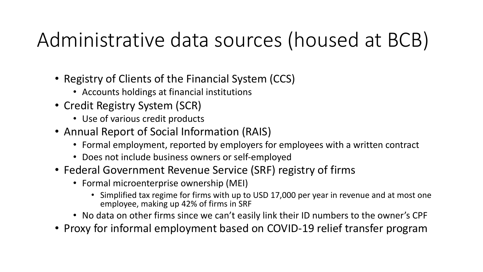# Administrative data sources (housed at BCB)

- Registry of Clients of the Financial System (CCS)
	- Accounts holdings at financial institutions
- Credit Registry System (SCR)
	- Use of various credit products
- Annual Report of Social Information (RAIS)
	- Formal employment, reported by employers for employees with a written contract
	- Does not include business owners or self-employed
- Federal Government Revenue Service (SRF) registry of firms
	- Formal microenterprise ownership (MEI)
		- Simplified tax regime for firms with up to USD 17,000 per year in revenue and at most one employee, making up 42% of firms in SRF
	- No data on other firms since we can't easily link their ID numbers to the owner's CPF
- Proxy for informal employment based on COVID-19 relief transfer program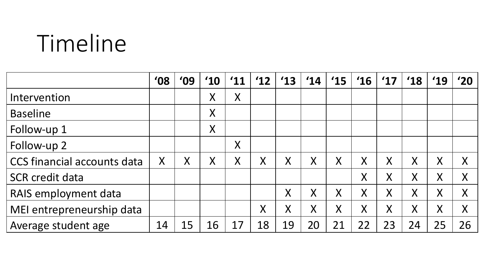# Timeline

|                             | $^{\prime}08$ | '09     | $^{\prime}10$ | $^{\prime}11$ | '12     | $^{\prime}13$ | '14     | '15 | $^{\prime}16$ | $^{\prime}17$ | $^{\prime}18$ | '19 | '20     |
|-----------------------------|---------------|---------|---------------|---------------|---------|---------------|---------|-----|---------------|---------------|---------------|-----|---------|
| Intervention                |               |         | $\sf X$       | $\sf X$       |         |               |         |     |               |               |               |     |         |
| <b>Baseline</b>             |               |         | $\sf X$       |               |         |               |         |     |               |               |               |     |         |
| Follow-up 1                 |               |         | $\sf X$       |               |         |               |         |     |               |               |               |     |         |
| Follow-up 2                 |               |         |               | $\sf X$       |         |               |         |     |               |               |               |     |         |
| CCS financial accounts data | $\sf X$       | $\sf X$ | $\sf X$       | $\sf X$       | $\sf X$ | X             | X       | X   | X             | Χ             | X             | X   | $\sf X$ |
| <b>SCR credit data</b>      |               |         |               |               |         |               |         |     | $\sf X$       | X             | X             | X   | Χ       |
| RAIS employment data        |               |         |               |               |         | $\sf X$       | $\sf X$ | Χ   | X             | X             | Χ             | X   | Χ       |
| MEI entrepreneurship data   |               |         |               |               | $\sf X$ | $\sf X$       | X       | X   | Χ             | X             | $\sf{X}$      | X   | $\sf X$ |
| Average student age         | 14            | 15      | 16            | 17            | 18      | 19            | 20      | 21  | 22            | 23            | 24            | 25  | 26      |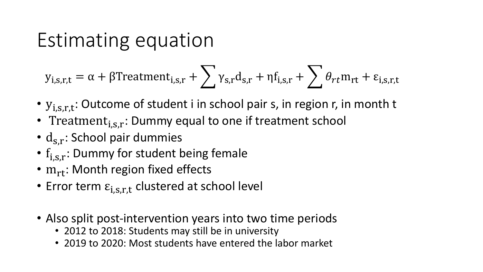### Estimating equation

$$
y_{i,s,r,t} = \alpha + \beta \text{Treatment}_{i,s,r} + \sum_{s,r} \gamma_{s,r} d_{s,r} + \eta f_{i,s,r} + \sum_{s,r} \theta_{rt} m_{rt} + \varepsilon_{i,s,r,t}
$$

- $y_{i,s,r,t}$ : Outcome of student i in school pair s, in region r, in month t
- Treatment $_{i,s,r}$ : Dummy equal to one if treatment school
- $\cdot$  d<sub>s.r</sub>: School pair dummies
- $f_{i,s,r}$ : Dummy for student being female
- $m_{rt}$ : Month region fixed effects
- Error term  $\varepsilon_{i,s,r,t}$  clustered at school level
- Also split post-intervention years into two time periods
	- 2012 to 2018: Students may still be in university
	- 2019 to 2020: Most students have entered the labor market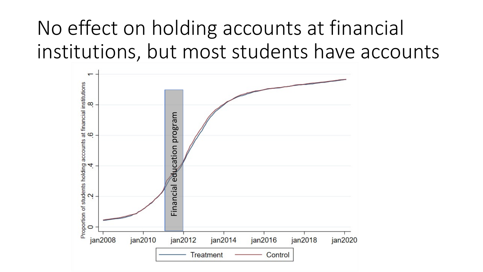# No effect on holding accounts at financial institutions, but most students have accounts

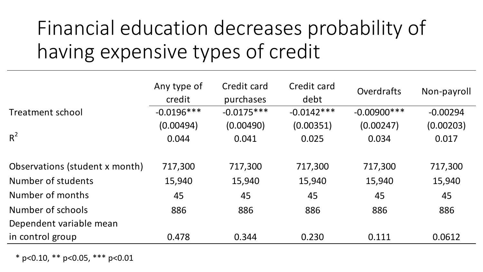# Financial education decreases probability of having expensive types of credit

|                                | Any type of<br>credit | Credit card<br>purchases | Credit card<br>debt | Overdrafts     | Non-payroll |
|--------------------------------|-----------------------|--------------------------|---------------------|----------------|-------------|
| Treatment school               | $-0.0196***$          | $-0.0175***$             | $-0.0142***$        | $-0.00900$ *** | $-0.00294$  |
|                                | (0.00494)             | (0.00490)                | (0.00351)           | (0.00247)      | (0.00203)   |
| $R^2$                          | 0.044                 | 0.041                    | 0.025               | 0.034          | 0.017       |
| Observations (student x month) | 717,300               | 717,300                  | 717,300             | 717,300        | 717,300     |
| Number of students             | 15,940                | 15,940                   | 15,940              | 15,940         | 15,940      |
| Number of months               | 45                    | 45                       | 45                  | 45             | 45          |
| Number of schools              | 886                   | 886                      | 886                 | 886            | 886         |
| Dependent variable mean        |                       |                          |                     |                |             |
| in control group               | 0.478                 | 0.344                    | 0.230               | 0.111          | 0.0612      |

\* p<0.10, \*\* p<0.05, \*\*\* p<0.01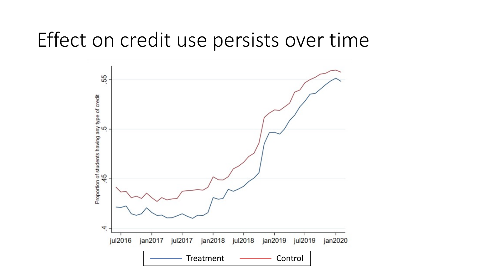#### Effect on credit use persists over time

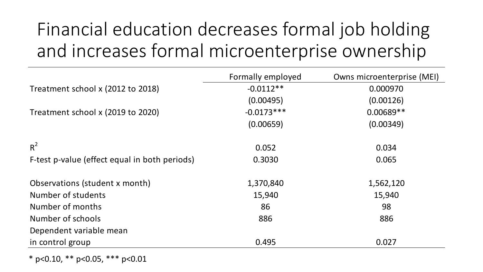### Financial education decreases formal job holding and increases formal microenterprise ownership

|                                               | Formally employed | Owns microenterprise (MEI) |
|-----------------------------------------------|-------------------|----------------------------|
| Treatment school x (2012 to 2018)             | $-0.0112**$       | 0.000970                   |
|                                               | (0.00495)         | (0.00126)                  |
| Treatment school x (2019 to 2020)             | $-0.0173***$      | $0.00689**$                |
|                                               | (0.00659)         | (0.00349)                  |
| $R^2$                                         | 0.052             | 0.034                      |
| F-test p-value (effect equal in both periods) | 0.3030            | 0.065                      |
| Observations (student x month)                | 1,370,840         | 1,562,120                  |
| Number of students                            | 15,940            | 15,940                     |
| Number of months                              | 86                | 98                         |
| Number of schools                             | 886               | 886                        |
| Dependent variable mean                       |                   |                            |
| in control group                              | 0.495             | 0.027                      |

\* p<0.10, \*\* p<0.05, \*\*\* p<0.01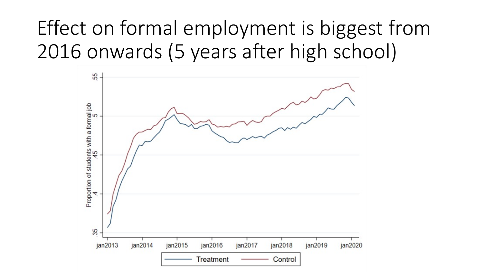# Effect on formal employment is biggest from 2016 onwards (5 years after high school)

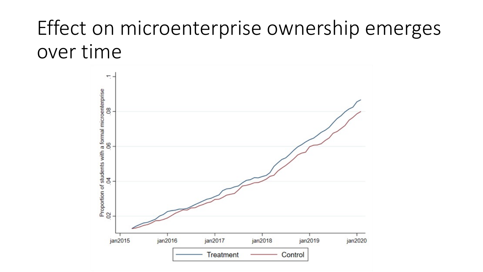### Effect on microenterprise ownership emerges over time

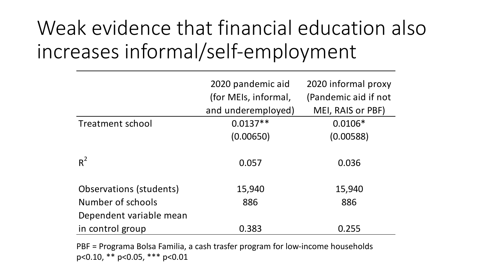# Weak evidence that financial education also increases informal/self-employment

|                         | 2020 pandemic aid    | 2020 informal proxy  |
|-------------------------|----------------------|----------------------|
|                         | (for MEIs, informal, | (Pandemic aid if not |
|                         | and underemployed)   | MEI, RAIS or PBF)    |
| <b>Treatment school</b> | $0.0137**$           | $0.0106*$            |
|                         | (0.00650)            | (0.00588)            |
| $R^2$                   | 0.057                | 0.036                |
| Observations (students) | 15,940               | 15,940               |
| Number of schools       | 886                  | 886                  |
| Dependent variable mean |                      |                      |
| in control group        | 0.383                | 0.255                |

PBF = Programa Bolsa Familia, a cash trasfer program for low-income households p<0.10, \*\* p<0.05, \*\*\* p<0.01